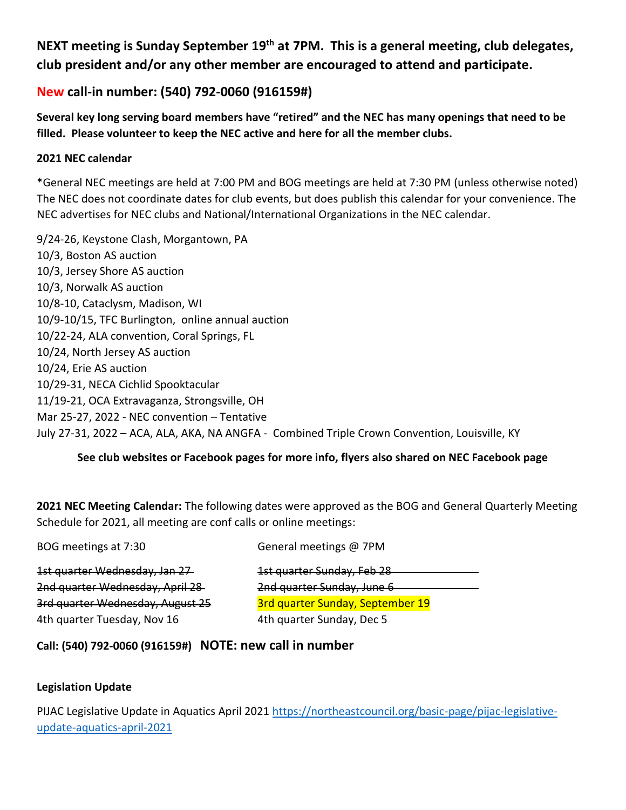# **NEXT meeting is Sunday September 19th at 7PM. This is a general meeting, club delegates, club president and/or any other member are encouraged to attend and participate.**

# **New call-in number: (540) 792-0060 (916159#)**

**Several key long serving board members have "retired" and the NEC has many openings that need to be filled. Please volunteer to keep the NEC active and here for all the member clubs.**

# **2021 NEC calendar**

\*General NEC meetings are held at 7:00 PM and BOG meetings are held at 7:30 PM (unless otherwise noted) The NEC does not coordinate dates for club events, but does publish this calendar for your convenience. The NEC advertises for NEC clubs and National/International Organizations in the NEC calendar.

9/24-26, Keystone Clash, Morgantown, PA 10/3, Boston AS auction 10/3, Jersey Shore AS auction 10/3, Norwalk AS auction 10/8-10, Cataclysm, Madison, WI 10/9-10/15, TFC Burlington, online annual auction 10/22-24, ALA convention, Coral Springs, FL 10/24, North Jersey AS auction 10/24, Erie AS auction 10/29-31, NECA Cichlid Spooktacular 11/19-21, OCA Extravaganza, Strongsville, OH Mar 25-27, 2022 - NEC convention – Tentative July 27-31, 2022 – ACA, ALA, AKA, NA ANGFA - Combined Triple Crown Convention, Louisville, KY

# **See club websites or Facebook pages for more info, flyers also shared on NEC Facebook page**

**2021 NEC Meeting Calendar:** The following dates were approved as the BOG and General Quarterly Meeting Schedule for 2021, all meeting are conf calls or online meetings:

| BOG meetings at 7:30             | General meetings @ 7PM                  |
|----------------------------------|-----------------------------------------|
| 1st quarter Wednesday, Jan 27    | 1st quarter Sunday, Feb 28              |
| 2nd quarter Wednesday, April 28  | 2nd quarter Sunday, June 6              |
| 3rd quarter Wednesday, August 25 | <b>3rd quarter Sunday, September 19</b> |
| 4th quarter Tuesday, Nov 16      | 4th quarter Sunday, Dec 5               |
|                                  |                                         |

# **Call: (540) 792-0060 (916159#) NOTE: new call in number**

# **Legislation Update**

PIJAC Legislative Update in Aquatics April 2021 [https://northeastcouncil.org/basic-page/pijac-legislative](https://northeastcouncil.org/basic-page/pijac-legislative-update-aquatics-april-2021)[update-aquatics-april-2021](https://northeastcouncil.org/basic-page/pijac-legislative-update-aquatics-april-2021)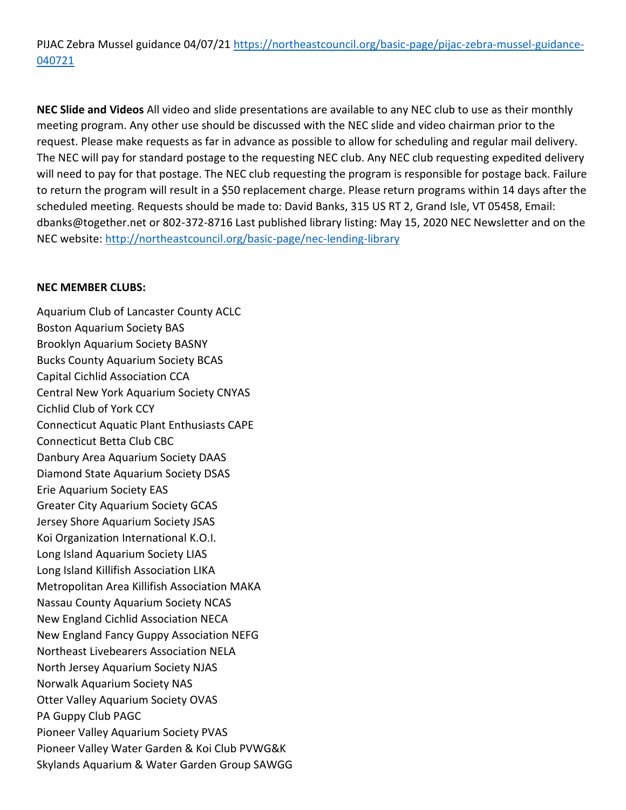PIJAC Zebra Mussel guidance 04/07/21 [https://northeastcouncil.org/basic-page/pijac-zebra-mussel-guidance-](https://northeastcouncil.org/basic-page/pijac-zebra-mussel-guidance-040721)[040721](https://northeastcouncil.org/basic-page/pijac-zebra-mussel-guidance-040721)

**NEC Slide and Videos** All video and slide presentations are available to any NEC club to use as their monthly meeting program. Any other use should be discussed with the NEC slide and video chairman prior to the request. Please make requests as far in advance as possible to allow for scheduling and regular mail delivery. The NEC will pay for standard postage to the requesting NEC club. Any NEC club requesting expedited delivery will need to pay for that postage. The NEC club requesting the program is responsible for postage back. Failure to return the program will result in a \$50 replacement charge. Please return programs within 14 days after the scheduled meeting. Requests should be made to: David Banks, 315 US RT 2, Grand Isle, VT 05458, Email: dbanks@together.net or 802-372-8716 Last published library listing: May 15, 2020 NEC Newsletter and on the NEC website:<http://northeastcouncil.org/basic-page/nec-lending-library>

#### **NEC MEMBER CLUBS:**

Aquarium Club of Lancaster County ACLC Boston Aquarium Society BAS Brooklyn Aquarium Society BASNY Bucks County Aquarium Society BCAS Capital Cichlid Association CCA Central New York Aquarium Society CNYAS Cichlid Club of York CCY Connecticut Aquatic Plant Enthusiasts CAPE Connecticut Betta Club CBC Danbury Area Aquarium Society DAAS Diamond State Aquarium Society DSAS Erie Aquarium Society EAS Greater City Aquarium Society GCAS Jersey Shore Aquarium Society JSAS Koi Organization International K.O.I. Long Island Aquarium Society LIAS Long Island Killifish Association LIKA Metropolitan Area Killifish Association MAKA Nassau County Aquarium Society NCAS New England Cichlid Association NECA New England Fancy Guppy Association NEFG Northeast Livebearers Association NELA North Jersey Aquarium Society NJAS Norwalk Aquarium Society NAS Otter Valley Aquarium Society OVAS PA Guppy Club PAGC Pioneer Valley Aquarium Society PVAS Pioneer Valley Water Garden & Koi Club PVWG&K Skylands Aquarium & Water Garden Group SAWGG